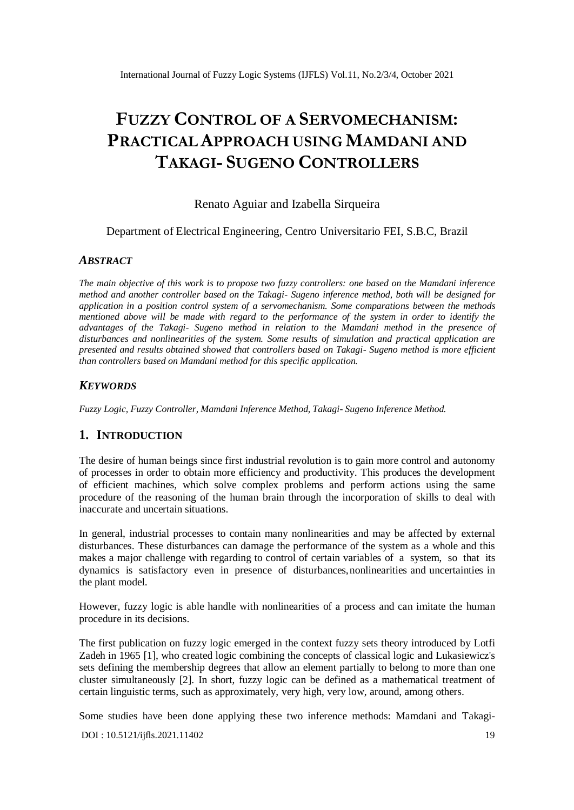# **FUZZY CONTROL OF A SERVOMECHANISM: PRACTICAL APPROACH USING MAMDANI AND TAKAGI- SUGENO CONTROLLERS**

# Renato Aguiar and Izabella Sirqueira

### Department of Electrical Engineering, Centro Universitario FEI, S.B.C, Brazil

### *ABSTRACT*

*The main objective of this work is to propose two fuzzy controllers: one based on the Mamdani inference method and another controller based on the Takagi- Sugeno inference method, both will be designed for application in a position control system of a servomechanism. Some comparations between the methods mentioned above will be made with regard to the performance of the system in order to identify the advantages of the Takagi- Sugeno method in relation to the Mamdani method in the presence of disturbances and nonlinearities of the system. Some results of simulation and practical application are presented and results obtained showed that controllers based on Takagi- Sugeno method is more efficient than controllers based on Mamdani method for this specific application.*

### *KEYWORDS*

*Fuzzy Logic, Fuzzy Controller, Mamdani Inference Method, Takagi- Sugeno Inference Method.*

## **1. INTRODUCTION**

The desire of human beings since first industrial revolution is to gain more control and autonomy of processes in order to obtain more efficiency and productivity. This produces the development of efficient machines, which solve complex problems and perform actions using the same procedure of the reasoning of the human brain through the incorporation of skills to deal with inaccurate and uncertain situations.

In general, industrial processes to contain many nonlinearities and may be affected by external disturbances. These disturbances can damage the performance of the system as a whole and this makes a major challenge with regarding to control of certain variables of a system, so that its dynamics is satisfactory even in presence of disturbances,nonlinearities and uncertainties in the plant model.

However, fuzzy logic is able handle with nonlinearities of a process and can imitate the human procedure in its decisions.

The first publication on fuzzy logic emerged in the context fuzzy sets theory introduced by Lotfi Zadeh in 1965 [1], who created logic combining the concepts of classical logic and Lukasiewicz's sets defining the membership degrees that allow an element partially to belong to more than one cluster simultaneously [2]. In short, fuzzy logic can be defined as a mathematical treatment of certain linguistic terms, such as approximately, very high, very low, around, among others.

Some studies have been done applying these two inference methods: Mamdani and Takagi-

[DOI : 10.5121/ijfls.2021.11402](https://doi.org/10.5121/ijfls.2021.11402) 19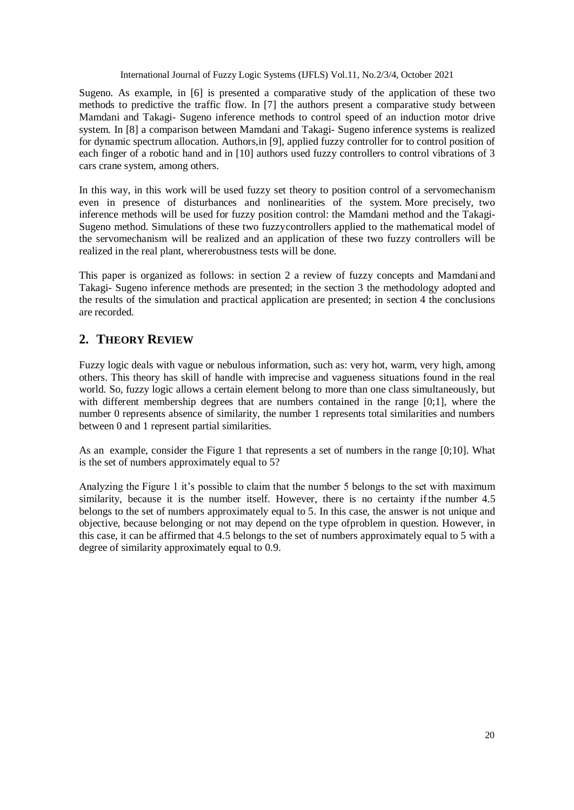Sugeno. As example, in [6] is presented a comparative study of the application of these two methods to predictive the traffic flow. In [7] the authors present a comparative study between Mamdani and Takagi- Sugeno inference methods to control speed of an induction motor drive system. In [8] a comparison between Mamdani and Takagi- Sugeno inference systems is realized for dynamic spectrum allocation. Authors,in [9], applied fuzzy controller for to control position of each finger of a robotic hand and in [10] authors used fuzzy controllers to control vibrations of 3 cars crane system, among others.

In this way, in this work will be used fuzzy set theory to position control of a servomechanism even in presence of disturbances and nonlinearities of the system. More precisely, two inference methods will be used for fuzzy position control: the Mamdani method and the Takagi-Sugeno method. Simulations of these two fuzzycontrollers applied to the mathematical model of the servomechanism will be realized and an application of these two fuzzy controllers will be realized in the real plant, whererobustness tests will be done.

This paper is organized as follows: in section 2 a review of fuzzy concepts and Mamdani and Takagi- Sugeno inference methods are presented; in the section 3 the methodology adopted and the results of the simulation and practical application are presented; in section 4 the conclusions are recorded.

# **2. THEORY REVIEW**

Fuzzy logic deals with vague or nebulous information, such as: very hot, warm, very high, among others. This theory has skill of handle with imprecise and vagueness situations found in the real world. So, fuzzy logic allows a certain element belong to more than one class simultaneously, but with different membership degrees that are numbers contained in the range [0;1], where the number 0 represents absence of similarity, the number 1 represents total similarities and numbers between 0 and 1 represent partial similarities.

As an example, consider the Figure 1 that represents a set of numbers in the range [0;10]. What is the set of numbers approximately equal to 5?

Analyzing the Figure 1 it's possible to claim that the number 5 belongs to the set with maximum similarity, because it is the number itself. However, there is no certainty ifthe number 4.5 belongs to the set of numbers approximately equal to 5. In this case, the answer is not unique and objective, because belonging or not may depend on the type ofproblem in question. However, in this case, it can be affirmed that 4.5 belongs to the set of numbers approximately equal to 5 with a degree of similarity approximately equal to 0.9.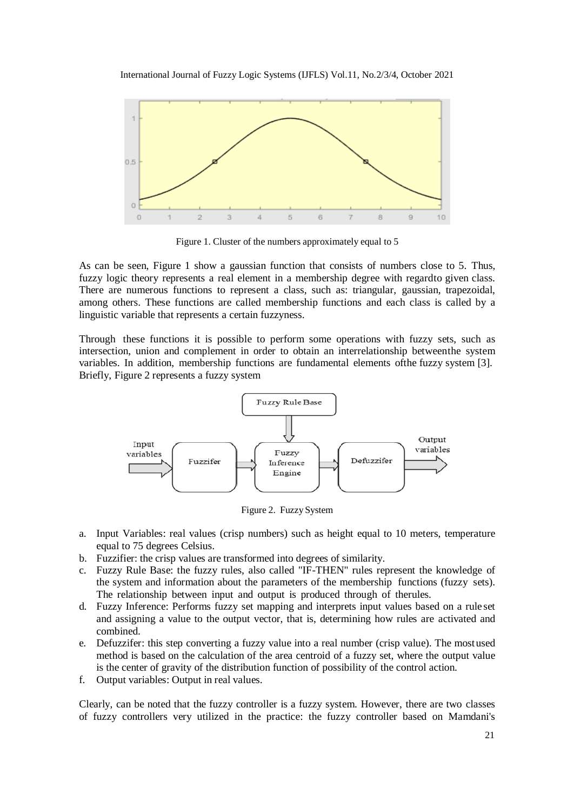



Figure 1. Cluster of the numbers approximately equal to 5

As can be seen, Figure 1 show a gaussian function that consists of numbers close to 5. Thus, fuzzy logic theory represents a real element in a membership degree with regardto given class. There are numerous functions to represent a class, such as: triangular, gaussian, trapezoidal, among others. These functions are called membership functions and each class is called by a linguistic variable that represents a certain fuzzyness.

Through these functions it is possible to perform some operations with fuzzy sets, such as intersection, union and complement in order to obtain an interrelationship betweenthe system variables. In addition, membership functions are fundamental elements ofthe fuzzy system [3]. Briefly, Figure 2 represents a fuzzy system



Figure 2. Fuzzy System

- a. Input Variables: real values (crisp numbers) such as height equal to 10 meters, temperature equal to 75 degrees Celsius.
- b. Fuzzifier: the crisp values are transformed into degrees of similarity.
- c. Fuzzy Rule Base: the fuzzy rules, also called "IF-THEN" rules represent the knowledge of the system and information about the parameters of the membership functions (fuzzy sets). The relationship between input and output is produced through of therules.
- d. Fuzzy Inference: Performs fuzzy set mapping and interprets input values based on a rule set and assigning a value to the output vector, that is, determining how rules are activated and combined.
- e. Defuzzifer: this step converting a fuzzy value into a real number (crisp value). The mostused method is based on the calculation of the area centroid of a fuzzy set, where the output value is the center of gravity of the distribution function of possibility of the control action.
- f. Output variables: Output in real values.

Clearly, can be noted that the fuzzy controller is a fuzzy system. However, there are two classes of fuzzy controllers very utilized in the practice: the fuzzy controller based on Mamdani's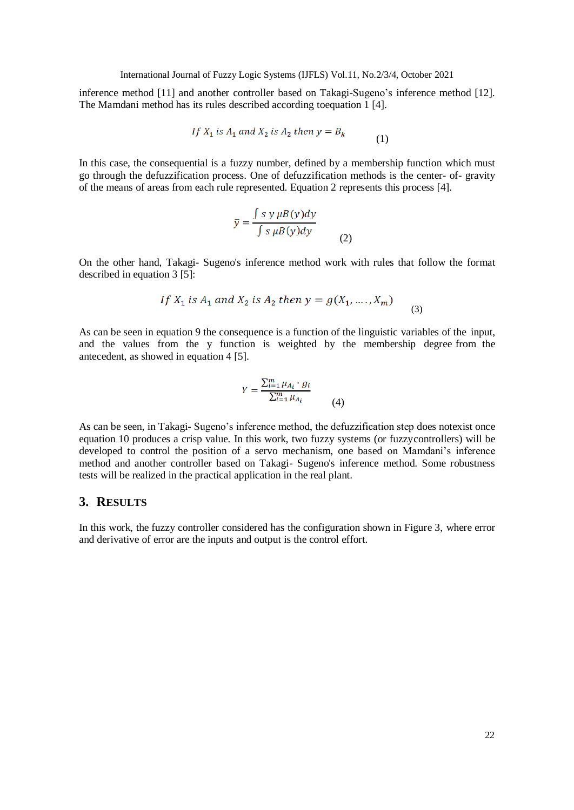inference method [11] and another controller based on Takagi-Sugeno's inference method [12]. The Mamdani method has its rules described according toequation 1 [4].

$$
If X_1 is A_1 and X_2 is A_2 then y = B_k
$$
\n<sup>(1)</sup>

In this case, the consequential is a fuzzy number, defined by a membership function which must go through the defuzzification process. One of defuzzification methods is the center- of- gravity of the means of areas from each rule represented. Equation 2 represents this process [4].

$$
\bar{y} = \frac{\int s \, y \, \mu B(y) dy}{\int s \, \mu B(y) dy}
$$
 (2)

On the other hand, Takagi- Sugeno's inference method work with rules that follow the format described in equation 3 [5]:

If 
$$
X_1
$$
 is  $A_1$  and  $X_2$  is  $A_2$  then  $y = g(X_1, ..., X_m)$  (3)

As can be seen in equation 9 the consequence is a function of the linguistic variables of the input, and the values from the y function is weighted by the membership degree from the antecedent, as showed in equation 4 [5].

$$
Y = \frac{\sum_{i=1}^{m} \mu_{A_i} \cdot g_i}{\sum_{i=1}^{m} \mu_{A_i}} \tag{4}
$$

As can be seen, in Takagi- Sugeno's inference method, the defuzzification step does notexist once equation 10 produces a crisp value*.* In this work, two fuzzy systems (or fuzzycontrollers) will be developed to control the position of a servo mechanism, one based on Mamdani's inference method and another controller based on Takagi- Sugeno's inference method. Some robustness tests will be realized in the practical application in the real plant.

# **3. RESULTS**

In this work, the fuzzy controller considered has the configuration shown in Figure 3, where error and derivative of error are the inputs and output is the control effort.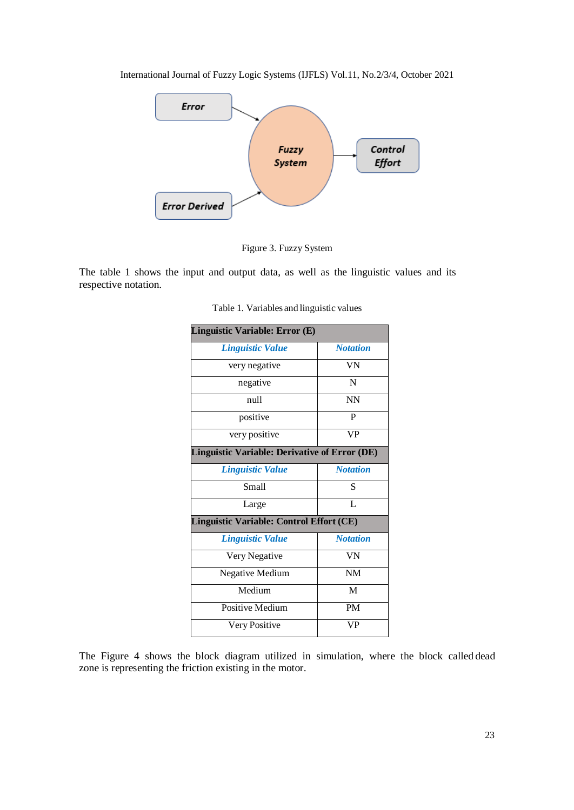



Figure 3. Fuzzy System

The table 1 shows the input and output data, as well as the linguistic values and its respective notation.

| Linguistic Variable: Error (E)                       |                 |
|------------------------------------------------------|-----------------|
| Linguistic Value                                     | <b>Notation</b> |
| very negative                                        | VN              |
| negative                                             | N               |
| null                                                 | <b>NN</b>       |
| positive                                             | P               |
| very positive                                        | <b>VP</b>       |
| <b>Linguistic Variable: Derivative of Error (DE)</b> |                 |
| <b>Linguistic Value</b>                              | <b>Notation</b> |
| Small                                                | S               |
| Large                                                | L               |
| Linguistic Variable: Control Effort (CE)             |                 |
| <b>Linguistic Value</b>                              | <b>Notation</b> |
| Very Negative                                        | VN              |
| <b>Negative Medium</b>                               | <b>NM</b>       |
| Medium                                               | M               |
| Positive Medium                                      | <b>PM</b>       |
| Very Positive                                        | VP              |

Table 1. Variables and linguistic values

The Figure 4 shows the block diagram utilized in simulation, where the block called dead zone is representing the friction existing in the motor.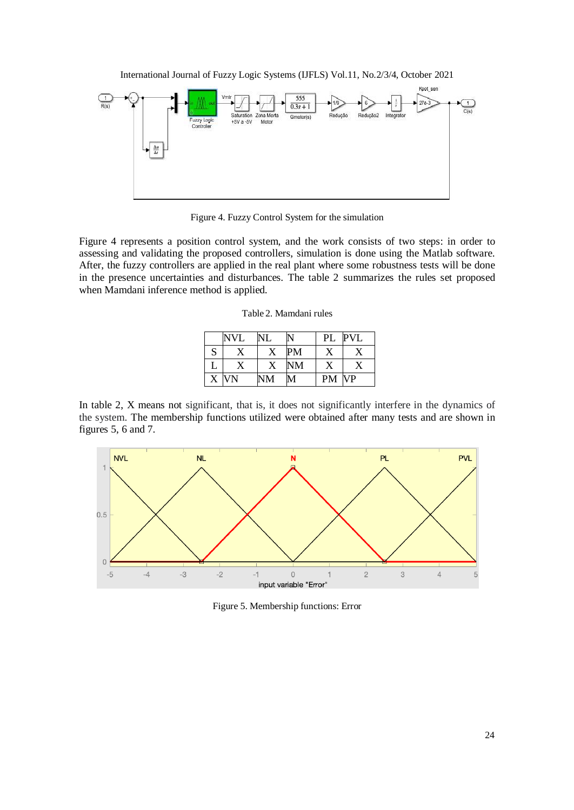

Figure 4. Fuzzy Control System for the simulation

Figure 4 represents a position control system, and the work consists of two steps: in order to assessing and validating the proposed controllers, simulation is done using the Matlab software. After, the fuzzy controllers are applied in the real plant where some robustness tests will be done in the presence uncertainties and disturbances. The table 2 summarizes the rules set proposed when Mamdani inference method is applied.

|  | Table 2. Mamdani rules |  |
|--|------------------------|--|
|--|------------------------|--|

|   | <b>NVL</b> | NL | N         | PL        | <b>PVL</b> |
|---|------------|----|-----------|-----------|------------|
| S |            |    | PM        | X         |            |
| ⊥ |            | X  | <b>NM</b> | х         |            |
| X | VN         | NM | M         | <b>PM</b> | <b>VP</b>  |

In table 2, X means not significant, that is, it does not significantly interfere in the dynamics of the system. The membership functions utilized were obtained after many tests and are shown in figures 5, 6 and 7.



Figure 5. Membership functions: Error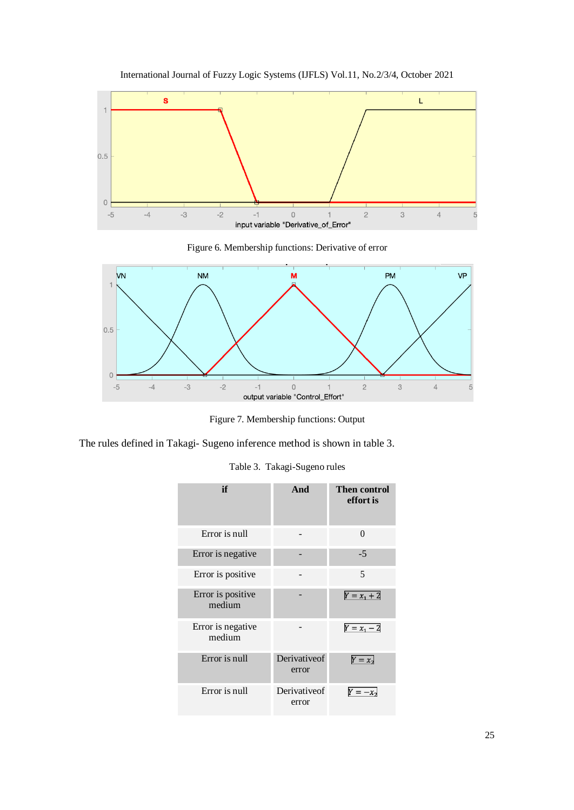

International Journal of Fuzzy Logic Systems (IJFLS) Vol.11, No.2/3/4, October 2021

Figure 6. Membership functions: Derivative of error



Figure 7. Membership functions: Output

The rules defined in Takagi- Sugeno inference method is shown in table 3.

| if                          | And                   | <b>Then control</b><br>effort is |
|-----------------------------|-----------------------|----------------------------------|
| Error is null               |                       | 0                                |
| Error is negative           |                       | $-5$                             |
| Error is positive           |                       | 5                                |
| Error is positive<br>medium |                       | $Y = x_1 + 2$                    |
| Error is negative<br>medium |                       | $Y = x_1 - 2$                    |
| Error is null               | Derivativeof<br>error | $Y = x_2$                        |
| Error is null               | Derivativeof<br>error |                                  |

Table 3. Takagi-Sugeno rules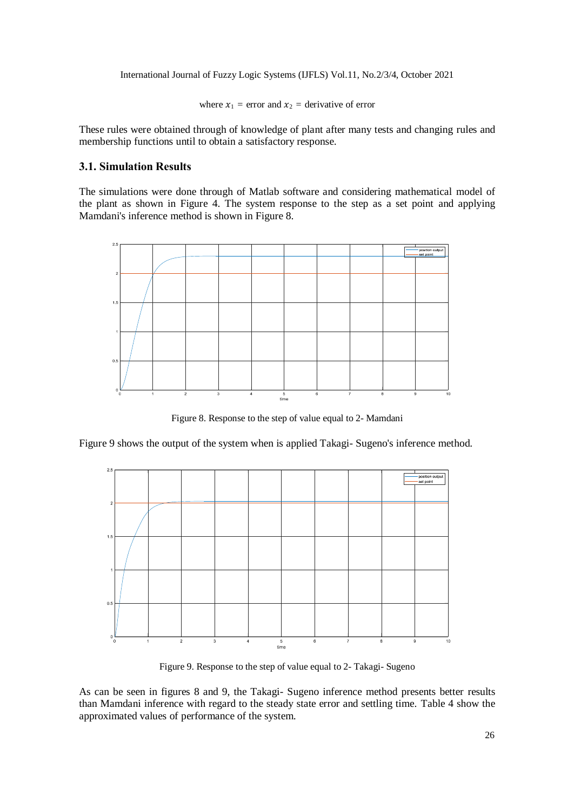where  $x_1$  = error and  $x_2$  = derivative of error

These rules were obtained through of knowledge of plant after many tests and changing rules and membership functions until to obtain a satisfactory response.

### **3.1. Simulation Results**

The simulations were done through of Matlab software and considering mathematical model of the plant as shown in Figure 4. The system response to the step as a set point and applying Mamdani's inference method is shown in Figure 8.



Figure 8. Response to the step of value equal to 2- Mamdani

Figure 9 shows the output of the system when is applied Takagi- Sugeno's inference method.



Figure 9. Response to the step of value equal to 2- Takagi- Sugeno

As can be seen in figures 8 and 9, the Takagi- Sugeno inference method presents better results than Mamdani inference with regard to the steady state error and settling time. Table 4 show the approximated values of performance of the system.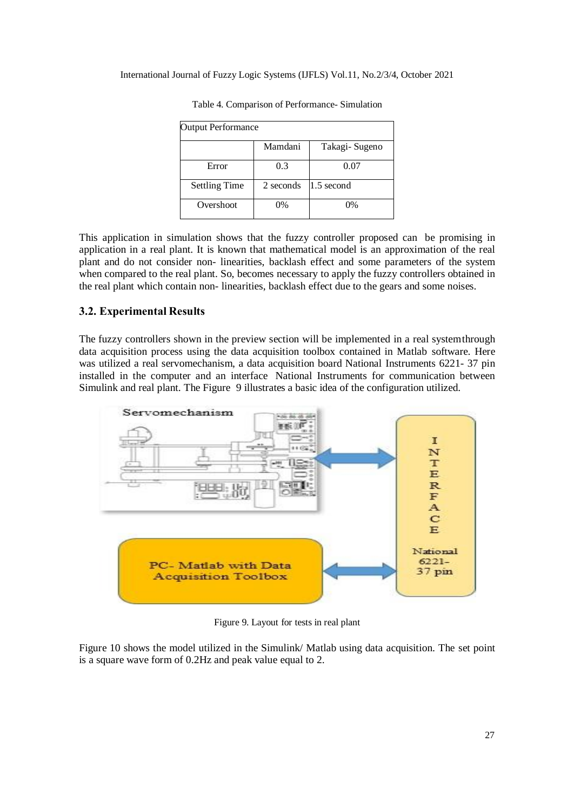| <b>Output Performance</b> |           |                |  |  |
|---------------------------|-----------|----------------|--|--|
|                           | Mamdani   | Takagi- Sugeno |  |  |
| Error                     | 0.3       | 0.07           |  |  |
| <b>Settling Time</b>      | 2 seconds | $1.5$ second   |  |  |
| Overshoot                 | $0\%$     | 0%             |  |  |

Table 4. Comparison of Performance- Simulation

This application in simulation shows that the fuzzy controller proposed can be promising in application in a real plant. It is known that mathematical model is an approximation of the real plant and do not consider non- linearities, backlash effect and some parameters of the system when compared to the real plant. So, becomes necessary to apply the fuzzy controllers obtained in the real plant which contain non- linearities, backlash effect due to the gears and some noises.

### **3.2. Experimental Results**

The fuzzy controllers shown in the preview section will be implemented in a real systemthrough data acquisition process using the data acquisition toolbox contained in Matlab software. Here was utilized a real servomechanism, a data acquisition board National Instruments 6221- 37 pin installed in the computer and an interface National Instruments for communication between Simulink and real plant. The Figure 9 illustrates a basic idea of the configuration utilized.



Figure 9. Layout for tests in real plant

Figure 10 shows the model utilized in the Simulink/ Matlab using data acquisition. The set point is a square wave form of 0.2Hz and peak value equal to 2.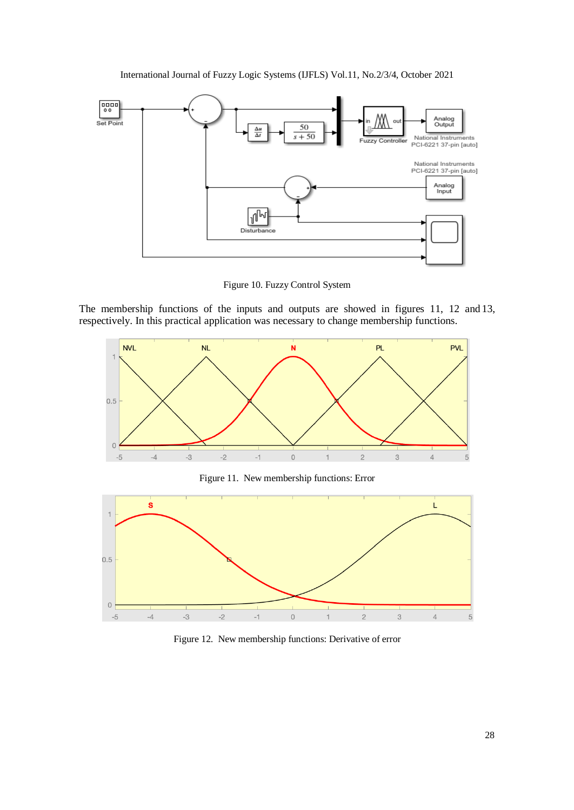International Journal of Fuzzy Logic Systems (IJFLS) Vol.11, No.2/3/4, October 2021



Figure 10. Fuzzy Control System

The membership functions of the inputs and outputs are showed in figures 11, 12 and 13, respectively. In this practical application was necessary to change membership functions.



Figure 11. New membership functions: Error



Figure 12. New membership functions: Derivative of error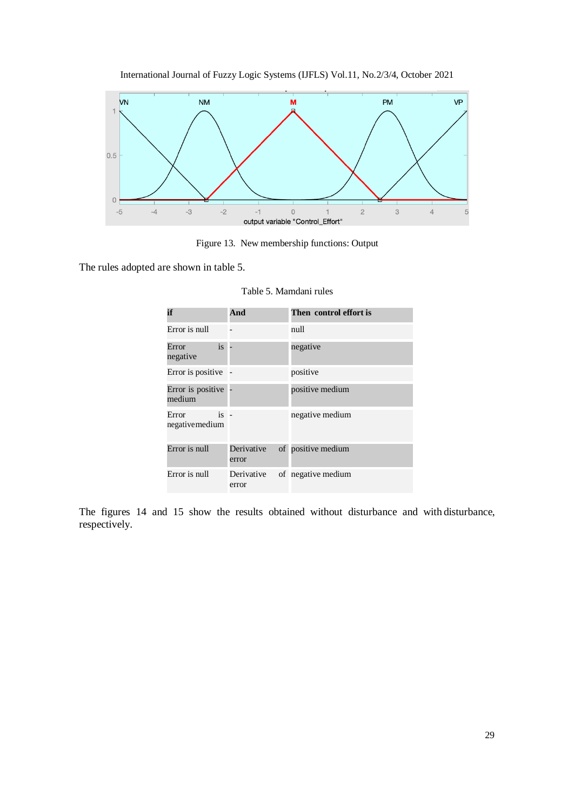

International Journal of Fuzzy Logic Systems (IJFLS) Vol.11, No.2/3/4, October 2021

Figure 13. New membership functions: Output

The rules adopted are shown in table 5.

| if                                 | And                 | Then control effort is |
|------------------------------------|---------------------|------------------------|
| Error is mill                      |                     | null                   |
| is<br>Error<br>negative            |                     | negative               |
| Error is positive                  |                     | positive               |
| Error is positive<br>medium        |                     | positive medium        |
| $is -$<br>Error<br>negative medium |                     | negative medium        |
| Error is null                      | Derivative<br>error | of positive medium     |
| Error is null                      | Derivative<br>error | of negative medium     |

Table 5. Mamdani rules

The figures 14 and 15 show the results obtained without disturbance and with disturbance, respectively.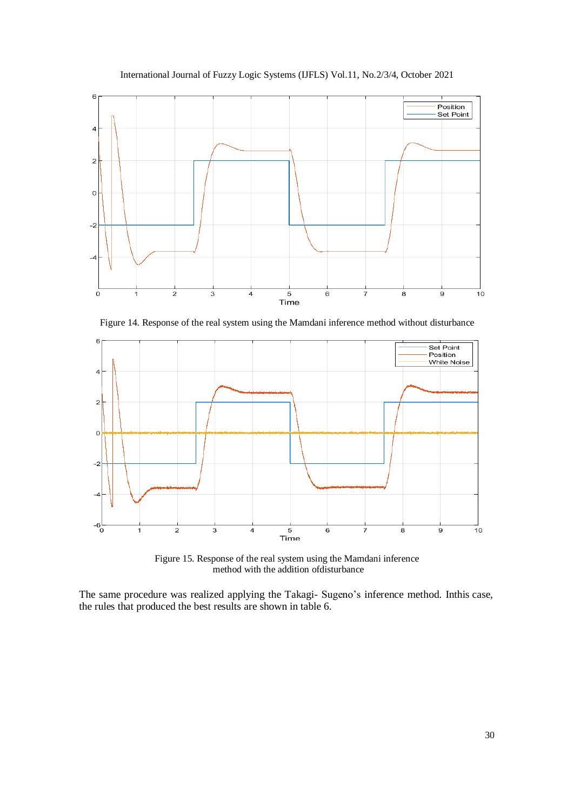International Journal of Fuzzy Logic Systems (IJFLS) Vol.11, No.2/3/4, October 2021



Figure 14. Response of the real system using the Mamdani inference method without disturbance



Figure 15. Response of the real system using the Mamdani inference method with the addition ofdisturbance

The same procedure was realized applying the Takagi- Sugeno's inference method. Inthis case, the rules that produced the best results are shown in table 6.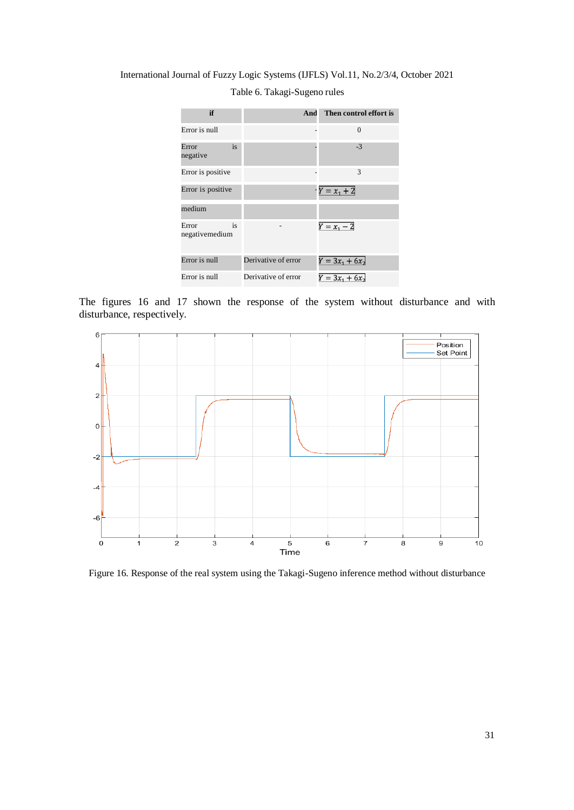International Journal of Fuzzy Logic Systems (IJFLS) Vol.11, No.2/3/4, October 2021

| if                            | And                 | Then control effort is       |
|-------------------------------|---------------------|------------------------------|
| Error is null                 |                     | $\Omega$                     |
| is<br>Error<br>negative       |                     | $-3$                         |
| Error is positive             |                     | 3                            |
| Error is positive             |                     | $Y = x_1 + 2$                |
| medium                        |                     |                              |
| is<br>Error<br>negativemedium |                     | $Y = x_1 - 2$                |
| Error is null                 | Derivative of error | $Y = 3x_1 + 6x_2$            |
| Error is null                 | Derivative of error | $\overline{Y} = 3x_1 + 6x_2$ |

Table 6. Takagi-Sugeno rules

The figures 16 and 17 shown the response of the system without disturbance and with disturbance, respectively.



Figure 16. Response of the real system using the Takagi-Sugeno inference method without disturbance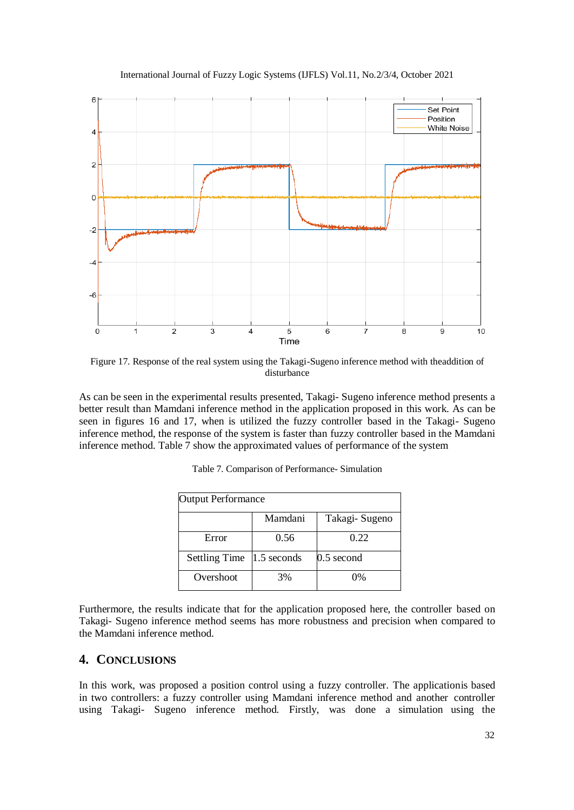



Figure 17. Response of the real system using the Takagi-Sugeno inference method with theaddition of disturbance

As can be seen in the experimental results presented, Takagi- Sugeno inference method presents a better result than Mamdani inference method in the application proposed in this work. As can be seen in figures 16 and 17, when is utilized the fuzzy controller based in the Takagi- Sugeno inference method, the response of the system is faster than fuzzy controller based in the Mamdani inference method. Table 7 show the approximated values of performance of the system

| <b>Output Performance</b> |               |                |  |
|---------------------------|---------------|----------------|--|
|                           | Mamdani       | Takagi- Sugeno |  |
| Error                     | 0.56          | 0.22           |  |
| <b>Settling Time</b>      | $1.5$ seconds | $0.5$ second   |  |
| Overshoot                 | 3%            | $\Omega\%$     |  |

|  |  |  | Table 7. Comparison of Performance-Simulation |  |
|--|--|--|-----------------------------------------------|--|
|--|--|--|-----------------------------------------------|--|

Furthermore, the results indicate that for the application proposed here, the controller based on Takagi- Sugeno inference method seems has more robustness and precision when compared to the Mamdani inference method.

# **4. CONCLUSIONS**

In this work, was proposed a position control using a fuzzy controller. The applicationis based in two controllers: a fuzzy controller using Mamdani inference method and another controller using Takagi- Sugeno inference method. Firstly, was done a simulation using the